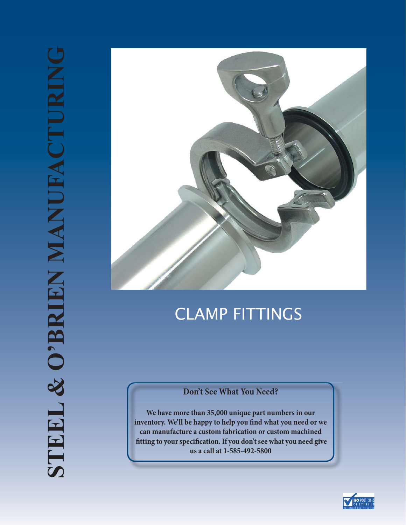

# CLAMP FITTINGS

### **Don't See What You Need?**

**We have more than 35,000 unique part numbers in our**  inventory. We'll be happy to help you find what you need or we **can manufacture a custom fabrication or custom machined ! tting to your speci! cation. If you don't see what you need give us a call at 1-585-492-5800**

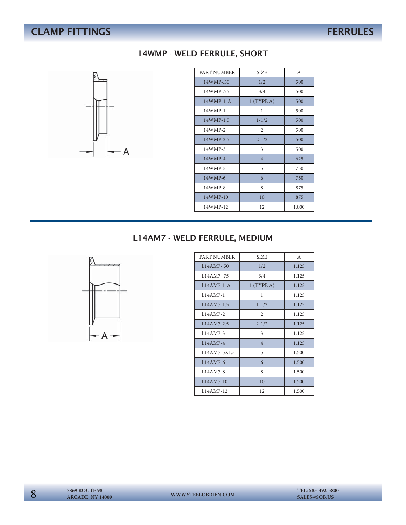# **CLAMP FITTINGS** FERRULES



### 14WMP - WELD FERRULE, SHORT

| PART NUMBER | <b>SIZE</b>    | $\mathsf{A}$ |
|-------------|----------------|--------------|
| 14WMP-.50   | 1/2            | .500         |
| 14WMP-.75   | 3/4            | .500         |
| $14WMP-1-A$ | $1$ (TYPE A)   | .500         |
| 14WMP-1     | 1              | .500         |
| 14WMP-1.5   | $1 - 1/2$      | .500         |
| 14WMP-2     | 2              | .500         |
| 14WMP-2.5   | $2 - 1/2$      | .500         |
| 14WMP-3     | 3              | .500         |
| 14WMP-4     | $\overline{4}$ | .625         |
| 14WMP-5     | 5              | .750         |
| 14WMP-6     | 6              | .750         |
| 14WMP-8     | 8              | .875         |
| $14WMP-10$  | 10             | .875         |
| 14WMP-12    | 12             | 1.000        |

### L14AM7 - WELD FERRULE, MEDIUM



| PART NUMBER  | <b>SIZE</b>    | A     |
|--------------|----------------|-------|
| $L14AM7-50$  | 1/2            | 1.125 |
| L14AM7-.75   | 3/4            | 1.125 |
| $L14AM7-1-A$ | $1$ (TYPE A)   | 1.125 |
| $L14AM7-1$   | 1              | 1.125 |
| L14AM7-1.5   | $1 - 1/2$      | 1.125 |
| L14AM7-2     | $\overline{c}$ | 1.125 |
| $L14AM7-2.5$ | $2 - 1/2$      | 1.125 |
| $L14AM7-3$   | 3              | 1.125 |
| $L14AM7-4$   | $\overline{4}$ | 1.125 |
| L14AM7-5X1.5 | 5              | 1.500 |
| L14AM7-6     | 6              | 1.500 |
| $L14AM7-8$   | 8              | 1.500 |
| $L14AM7-10$  | 10             | 1.500 |
| L14AM7-12    | 12             | 1.500 |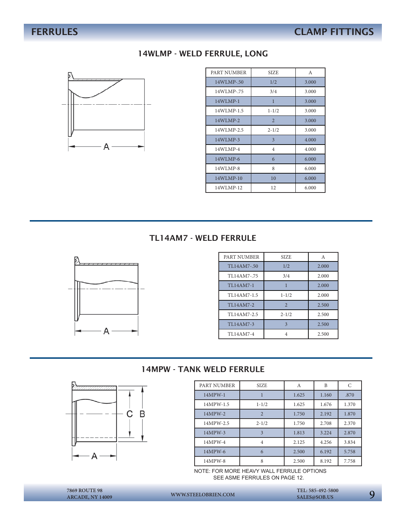### 14WLMP - WELD FERRULE, LONG



| PART NUMBER | <b>SIZE</b>    | A     |
|-------------|----------------|-------|
| 14WLMP-.50  | 1/2            | 3.000 |
| 14WLMP-.75  | 3/4            | 3.000 |
| $14WLMP-1$  | 1              | 3.000 |
| 14WLMP-1.5  | $1 - 1/2$      | 3.000 |
| $14WLMP-2$  | $\overline{2}$ | 3.000 |
| 14WLMP-2.5  | $2 - 1/2$      | 3.000 |
| 14WLMP-3    | 3              | 4.000 |
| 14WLMP-4    | $\overline{4}$ | 4.000 |
| 14WLMP-6    | 6              | 6.000 |
| 14WLMP-8    | 8              | 6.000 |
| 14WLMP-10   | 10             | 6.000 |
| 14WLMP-12   | 12             | 6.000 |

### TL14AM7 - WELD FERRULE



| PART NUMBER | <b>SIZE</b>    | A     |
|-------------|----------------|-------|
| TL14AM7-.50 | 1/2            | 2.000 |
| TL14AM7-.75 | 3/4            | 2.000 |
| TL14AM7-1   |                | 2.000 |
| TL14AM7-1.5 | $1 - 1/2$      | 2.000 |
| TL14AM7-2   | $\overline{2}$ | 2.500 |
| TL14AM7-2.5 | $2 - 1/2$      | 2.500 |
| TL14AM7-3   | $\mathbf{3}$   | 2.500 |
| TL14AM7-4   | 4              | 2.500 |

### 14MPW - TANK WELD FERRULE



| PART NUMBER | <b>SIZE</b>    | А     | B     | C     |
|-------------|----------------|-------|-------|-------|
| 14MPW-1     |                | 1.625 | 1.160 | .870  |
| 14MPW-1.5   | $1 - 1/2$      | 1.625 | 1.676 | 1.370 |
| 14MPW-2     | $\overline{2}$ | 1.750 | 2.192 | 1.870 |
| 14MPW-2.5   | $2 - 1/2$      | 1.750 | 2.708 | 2.370 |
| 14MPW-3     | 3              | 1.813 | 3.224 | 2.870 |
| 14MPW-4     | $\overline{4}$ | 2.125 | 4.256 | 3.834 |
| 14MPW-6     | 6              | 2.500 | 6.192 | 5.758 |
| 14MPW-8     | 8              | 2.500 | 8.192 | 7.758 |

NOTE: FOR MORE HEAVY WALL FERRULE OPTIONS SEE ASME FERRULES ON PAGE 12.

9 **7869 ROUTE 98 WWW.STEELOBRIEN.COM SALES@SOB.US ARCADE, NY 14009**

 **TEL: 585-492-5800**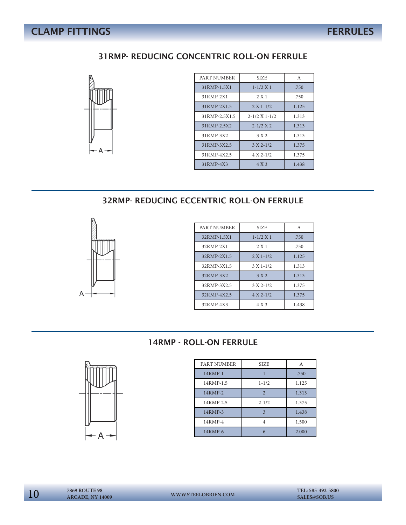## **CLAMP FITTINGS** FERRULES

### 31RMP- REDUCING CONCENTRIC ROLL-ON FERRULE



| PART NUMBER   | <b>SIZE</b>           | $\overline{A}$ |
|---------------|-----------------------|----------------|
| 31RMP-1.5X1   | $1 - 1/2 X1$          | .750           |
| 31RMP-2X1     | 2 X 1                 | .750           |
| 31RMP-2X1.5   | $2 X 1 - 1/2$         | 1.125          |
| 31RMP-2.5X1.5 | $2 - 1/2$ X 1 - $1/2$ | 1.313          |
| 31RMP-2.5X2   | $2 - 1/2 X 2$         | 1.313          |
| 31RMP-3X2     | 3 X 2                 | 1.313          |
| 31RMP-3X2.5   | $3 X 2 - 1/2$         | 1.375          |
| 31RMP-4X2.5   | $4 X 2 - 1/2$         | 1.375          |
| 31RMP-4X3     | 4 X 3                 | 1.438          |

32RMP- REDUCING ECCENTRIC ROLL-ON FERRULE



| PART NUMBER | <b>SIZE</b>   | A     |
|-------------|---------------|-------|
| 32RMP-1.5X1 | $1 - 1/2 X1$  | .750  |
| 32RMP-2X1   | 2 X 1         | .750  |
| 32RMP-2X1.5 | $2 X 1 - 1/2$ | 1.125 |
| 32RMP-3X1.5 | $3 X 1 - 1/2$ | 1.313 |
| 32RMP-3X2   | 3 X 2         | 1.313 |
| 32RMP-3X2.5 | $3 X 2 - 1/2$ | 1.375 |
| 32RMP-4X2.5 | $4 X 2 - 1/2$ | 1.375 |
| 32RMP-4X3   | 4 X 3         | 1.438 |

### 14RMP - ROLL-ON FERRULE



| PART NUMBER | SIZE           |       |
|-------------|----------------|-------|
| 14RMP-1     |                | .750  |
| 14RMP-1.5   | $1 - 1/2$      | 1.125 |
| 14RMP-2     | $\overline{2}$ | 1.313 |
| 14RMP-2.5   | $2 - 1/2$      | 1.375 |
| 14RMP-3     | 3              | 1.438 |
| 14RMP-4     | 4              | 1.500 |
| 14RMP-6     | 6              | 2.000 |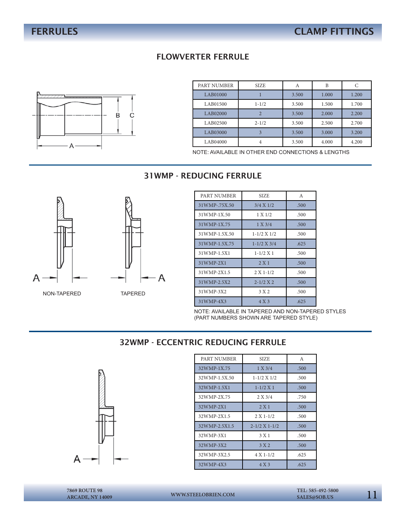### FLOWVERTER FERRULE



| PART NUMBER | <b>SIZE</b> | А     | B     |       |
|-------------|-------------|-------|-------|-------|
| LAB01000    |             | 3.500 | 1.000 | 1.200 |
| LAB01500    | $1 - 1/2$   | 3.500 | 1.500 | 1.700 |
| LAB02000    |             | 3.500 | 2.000 | 2.200 |
| LAB02500    | $2 - 1/2$   | 3.500 | 2.500 | 2.700 |
| LAB03000    | 3           | 3.500 | 3.000 | 3.200 |
| LAB04000    | 4           | 3.500 | 4.000 | 4.200 |

NOTE: AVAILABLE IN OTHER END CONNECTIONS & LENGTHS

### 31WMP - REDUCING FERRULE



| PART NUMBER    | <b>SIZE</b>       | A    |
|----------------|-------------------|------|
| 31 WMP-75X.50  | 3/4 X 1/2         | .500 |
| 31WMP-1X.50    | 1 X 1/2           | .500 |
| 31WMP-1X.75    | 1 X 3/4           | .500 |
| 31 WMP-1.5X.50 | $1 - 1/2$ X $1/2$ | .500 |
| 31 WMP-1.5X.75 | $1 - 1/2$ X 3/4   | .625 |
| 31WMP-1.5X1    | $1 - 1/2$ X 1     | .500 |
| 31WMP-2X1      | 2 X 1             | .500 |
| 31WMP-2X1.5    | $2 X 1 - 1/2$     | .500 |
| 31WMP-2.5X2    | $2 - 1/2 X 2$     | .500 |
| 31WMP-3X2      | 3 X 2             | .500 |
| 31WMP-4X3      | 4 X 3             | .625 |

NOTE: AVAILABLE IN TAPERED AND NON-TAPERED STYLES (PART NUMBERS SHOWN ARE TAPERED STYLE)

### 32WMP - ECCENTRIC REDUCING FERRULE



| PART NUMBER   | <b>SIZE</b>           | A    |
|---------------|-----------------------|------|
| 32WMP-1X.75   | 1 X 3/4               | .500 |
| 32WMP-1.5X.50 | $1 - 1/2$ X $1/2$     | .500 |
| 32WMP-1.5X1   | $1 - 1/2 X1$          | .500 |
| 32WMP-2X.75   | 2 X 3/4               | .750 |
| 32WMP-2X1     | 2 X 1                 | .500 |
| 32WMP-2X1.5   | $2 X 1 - 1/2$         | .500 |
| 32WMP-2.5X1.5 | $2 - 1/2$ X 1 - $1/2$ | .500 |
| 32WMP-3X1     | 3 X 1                 | .500 |
| 32WMP-3X2     | 3 X 2                 | .500 |
| 32WMP-3X2.5   | $4 X 1 - 1/2$         | .625 |
| 32WMP-4X3     | 4 X 3                 | .625 |

**ARCADE, NY 14009**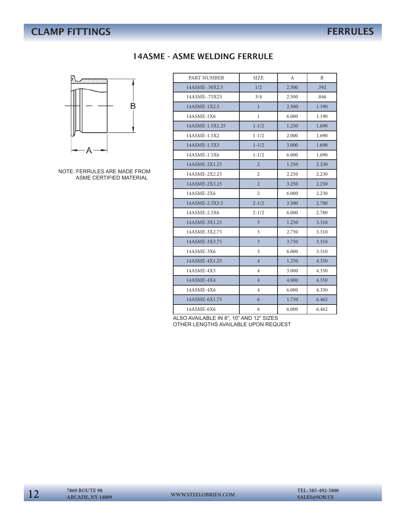# **CLAMP FITTINGS** FERRULES

### 14ASME - ASME WELDING FERRULE



NOTE: FERRULES ARE MADE FROM ASME CERTIFIED MATERIAL

| PART NUMBER     | <b>SIZE</b>    | А     | B     |
|-----------------|----------------|-------|-------|
| 14ASME-.50X2.5  | 1/2            | 2.500 | .592  |
| 14ASME-.75X25   | 3/4            | 2.500 | .846  |
| 14ASME-1X2.5    | $\mathbf{1}$   | 2.500 | 1.190 |
| 14ASME-1X6      | $\mathbf{1}$   | 6.000 | 1.190 |
| 14ASME-1.5X1.25 | $1 - 1/2$      | 1.250 | 1.690 |
| 14ASME-1.5X2    | $1 - 1/2$      | 2.000 | 1.690 |
| 14ASME-1.5X3    | $1 - 1/2$      | 3.000 | 1.690 |
| 14ASME-1.5X6    | $1 - 1/2$      | 6.000 | 1.690 |
| 14ASME-2X1.25   | $\overline{2}$ | 1.250 | 2.230 |
| 14ASME-2X2.25   | 2              | 2.250 | 2.230 |
| 14ASME-2X3.25   | $\overline{2}$ | 3.250 | 2.230 |
| 14ASME-2X6      | 2              | 6.000 | 2.230 |
| 14ASME-2.5X3.5  | $2 - 1/2$      | 3.500 | 2.780 |
| 14ASME-2.5X6    | $2 - 1/2$      | 6.000 | 2.780 |
| 14ASME-3X1.25   | $\overline{3}$ | 1.250 | 3.310 |
| 14ASME-3X2.75   | 3              | 2.750 | 3.310 |
| 14ASME-3X3.75   | $\mathfrak{Z}$ | 3.750 | 3.310 |
| 14ASME-3X6      | 3              | 6.000 | 3.310 |
| 14ASME-4X1.25   | $\overline{4}$ | 1.250 | 4.350 |
| 14ASME-4X3      | 4              | 3.000 | 4.350 |
| 14ASME-4X4      | $\overline{4}$ | 4.000 | 4.350 |
| 14ASME-4X6      | 4              | 6.000 | 4.350 |
| 14ASME-6X1.75   | 6              | 1.750 | 6.462 |
| 14ASME-6X6      | 6              | 6.000 | 6.462 |

ALSO AVAILABLE IN 8", 10" AND 12" SIZES OTHER LENGTHS AVAILABLE UPON REQUEST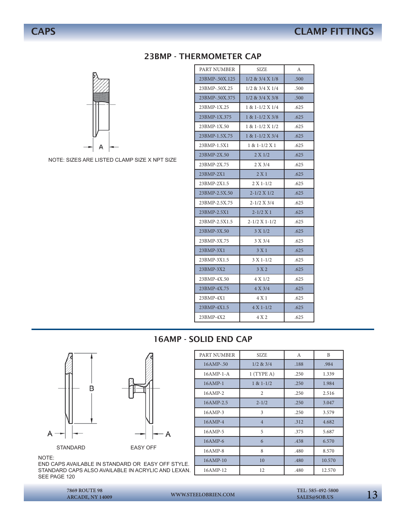

NOTE: SIZES ARE LISTED CLAMP SIZE X NPT SIZE

### 23BMP - THERMOMETER CAP PART NUMBER SIZE A 23BMP-.50X.125 1/2 & 3/4 X 1/8 .500 23BMP-.50X.25 1/2 & 3/4 X 1/4 .500 23BMP-.50X.375 1/2 & 3/4 X 3/8 .500 23BMP-1X.25 1 & 1-1/2 X 1/4 .625 23BMP-1X.375 1 & 1-1/2 X 3/8 625 23BMP-1X.50 1 & 1-1/2 X 1/2 .625 23BMP-1.5X.75 | 1 & 1-1/2 X 3/4 .625 23BMP-1.5X1 1 & 1-1/2 X 1 .625 23BMP-2X.50  $2 \times 1/2$  .625 23BMP-2X.75 2 X 3/4 .625 23BMP-2X1 2 X 1 .625 23BMP-2X1.5 2 X 1-1/2 .625 23BMP-2.5X.50 2-1/2 X 1/2 625 23BMP-2.5X.75 2-1/2 X 3/4 .625  $23BMP-2.5X1$   $2-1/2 X 1$  .625 23BMP-2.5X1.5 2-1/2 X 1-1/2 625  $23BMP-3X.50$   $3 \times 1/2$   $625$ 23BMP-3X.75 3 X 3/4 .625 23BMP-3X1 3 X 1 .625 23BMP-3X1.5 3 X 1-1/2 625 23BMP-3X2 3 X 2 .625 23BMP-4X.50 4 X 1/2 .625 23BMP-4X.75 4 X 3/4 625 23BMP-4X1 4 X 1 .625 23BMP-4X1.5 4 X 1-1/2 625 23BMP-4X2 4 X 2 .625

### 16AMP - SOLID END CAP



STANDARD **EASY OFF** 

NOTE:

SEE PAGE 120



**ARCADE, NY 14009**

13 **7869 ROUTE 98 WWW.STEELOBRIEN.COM** 

 **TEL: 585-492-5800**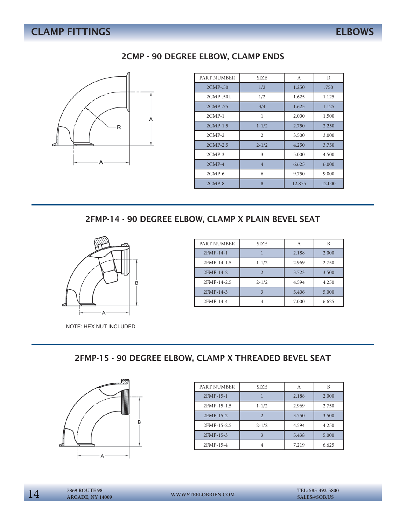# **CLAMP FITTINGS** ELBOWS



| PART NUMBER  | <b>SIZE</b>    | A      | R      |
|--------------|----------------|--------|--------|
| $2CMP-50$    | 1/2            | 1.250  | .750   |
| $2$ CMP-.50L | 1/2            | 1.625  | 1.125  |
| 2CMP-.75     | 3/4            | 1.625  | 1.125  |
| $2$ CMP- $1$ | 1              | 2.000  | 1.500  |
| 2CMP-1.5     | $1 - 1/2$      | 2.750  | 2.250  |
| $2$ CMP- $2$ | 2              | 3.500  | 3.000  |
| 2CMP-2.5     | $2 - 1/2$      | 4.250  | 3.750  |
| $2$ CMP-3    | 3              | 5.000  | 4.500  |
| $2CMP-4$     | $\overline{4}$ | 6.625  | 6.000  |
| $2CMP-6$     | 6              | 9.750  | 9.000  |
| $2CMP-8$     | 8              | 12.875 | 12.000 |

### 2FMP-14 - 90 DEGREE ELBOW, CLAMP X PLAIN BEVEL SEAT



NOTE: HEX NUT INCLUDED

| PART NUMBER | <b>SIZE</b> | Α     | B     |
|-------------|-------------|-------|-------|
| 2FMP-14-1   |             | 2.188 | 2.000 |
| 2FMP-14-1.5 | $1 - 1/2$   | 2.969 | 2.750 |
| 2FMP-14-2   |             | 3.723 | 3.500 |
| 2FMP-14-2.5 | $2 - 1/2$   | 4.594 | 4.250 |
| 2FMP-14-3   |             | 5.406 | 5.000 |
| 2FMP-14-4   |             | 7.000 | 6.625 |

### 2FMP-15 - 90 DEGREE ELBOW, CLAMP X THREADED BEVEL SEAT



| PART NUMBER | <b>SIZE</b> | Α     | B     |
|-------------|-------------|-------|-------|
| 2FMP-15-1   |             | 2.188 | 2.000 |
| 2FMP-15-1.5 | $1 - 1/2$   | 2.969 | 2.750 |
| 2FMP-15-2   |             | 3.750 | 3.500 |
| 2FMP-15-2.5 | $2 - 1/2$   | 4.594 | 4.250 |
| 2FMP-15-3   |             | 5.438 | 5.000 |
| 2FMP-15-4   |             | 7.219 | 6.625 |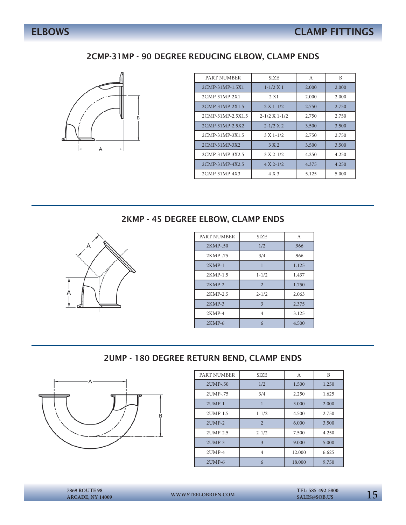### 2CMP-31MP - 90 DEGREE REDUCING ELBOW, CLAMP ENDS



| PART NUMBER       | SIZE.                 | A     | B     |
|-------------------|-----------------------|-------|-------|
| 2CMP-31MP-1.5X1   | $1 - 1/2 X 1$         | 2.000 | 2.000 |
| 2CMP-31MP-2X1     | 2 X 1                 | 2.000 | 2.000 |
| 2CMP-31MP-2X1.5   | $2 X 1 - 1/2$         | 2.750 | 2.750 |
| 2CMP-31MP-2.5X1.5 | $2 - 1/2$ X 1 - $1/2$ | 2.750 | 2.750 |
| 2CMP-31MP-2.5X2   | $2 - 1/2 X 2$         | 3.500 | 3.500 |
| 2CMP-31MP-3X1.5   | $3 X 1 - 1/2$         | 2.750 | 2.750 |
| 2CMP-31MP-3X2     | 3 X 2                 | 3.500 | 3.500 |
| 2CMP-31MP-3X2.5   | $3 X 2 - 1/2$         | 4.250 | 4.250 |
| 2CMP-31MP-4X2.5   | $4 X 2 - 1/2$         | 4.375 | 4.250 |
| 2CMP-31MP-4X3     | 4 X 3                 | 5.125 | 5.000 |

### 2KMP - 45 DEGREE ELBOW, CLAMP ENDS



| PART NUMBER | <b>SIZE</b>   | А     |
|-------------|---------------|-------|
| 2KMP-.50    | 1/2           | .966  |
| 2KMP-.75    | 3/4           | .966  |
| $2KMP-1$    |               | 1.125 |
| 2KMP-1.5    | $1 - 1/2$     | 1.437 |
| $2KMP-2$    | $\mathcal{D}$ | 1.750 |
| 2KMP-2.5    | $2 - 1/2$     | 2.063 |
| $2KMP-3$    | 3             | 2.375 |
| $2KMP-4$    | 4             | 3.125 |
| $2KMP-6$    | 6             | 4.500 |

### 2UMP - 180 DEGREE RETURN BEND, CLAMP ENDS



| PART NUMBER  | <b>SIZE</b>    | А      | B     |
|--------------|----------------|--------|-------|
| 2UMP-.50     | 1/2            | 1.500  | 1.250 |
| 2UMP-.75     | 3/4            | 2.250  | 1.625 |
| $2$ UMP-1    |                | 3.000  | 2.000 |
| 2UMP-1.5     | $1 - 1/2$      | 4.500  | 2.750 |
| $2$ UMP- $2$ | $\overline{2}$ | 6.000  | 3.500 |
| 2UMP-2.5     | $2 - 1/2$      | 7.500  | 4.250 |
| $2$ UMP-3    | 3              | 9.000  | 5.000 |
| $2$ UMP-4    | 4              | 12.000 | 6.625 |
| $2UMP-6$     | 6              | 18.000 | 9.750 |

15 **7869 ROUTE 98 WWW.STEELOBRIEN.COM SALES@SOB.US ARCADE, NY 14009**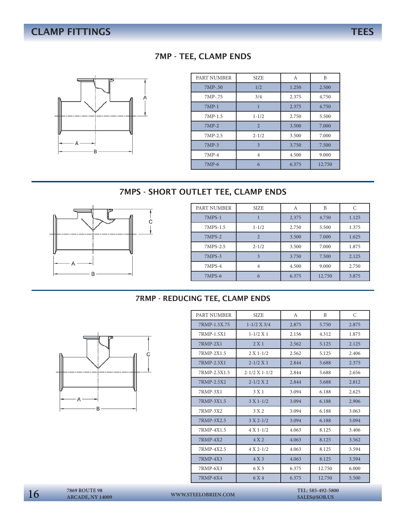### 7MP - TEE, CLAMP ENDS



| PART NUMBER | <b>SIZE</b>             | А     | B      |
|-------------|-------------------------|-------|--------|
| 7MP-.50     | 1/2                     | 1.250 | 2.500  |
| 7MP-.75     | 3/4                     | 2.375 | 4.750  |
| $7MP-1$     |                         | 2.375 | 4.750  |
| 7MP-1.5     | $1 - 1/2$               | 2.750 | 5.500  |
| $7MP-2$     | $\overline{2}$          | 3.500 | 7.000  |
| 7MP-2.5     | $2 - 1/2$               | 3.500 | 7.000  |
| $7MP-3$     | $\overline{\mathbf{3}}$ | 3.750 | 7.500  |
| $7MP-4$     | 4                       | 4.500 | 9.000  |
| $7MP-6$     | 6                       | 6.375 | 12.750 |

### 7MPS - SHORT OUTLET TEE, CLAMP ENDS



| PART NUMBER | <b>SIZE</b> | А     | B      | C     |
|-------------|-------------|-------|--------|-------|
| $7MPS-1$    |             | 2.375 | 4.750  | 1.125 |
| 7MPS-1.5    | $1 - 1/2$   | 2.750 | 5.500  | 1.375 |
| $7MPS-2$    | 2           | 3.500 | 7.000  | 1.625 |
| 7MPS-2.5    | $2 - 1/2$   | 3.500 | 7.000  | 1.875 |
| 7MPS-3      | 3           | 3.750 | 7.500  | 2.125 |
| $7MPS-4$    | 4           | 4.500 | 9.000  | 2.750 |
| 7MPS-6      | 6           | 6.375 | 12.750 | 3.875 |

### 7RMP - REDUCING TEE, CLAMP ENDS



| PART NUMBER  | <b>SIZE</b>           | A     | B      | C     |
|--------------|-----------------------|-------|--------|-------|
| 7RMP-1.5X.75 | $1 - 1/2$ X 3/4       | 2.875 | 5.750  | 2.875 |
| 7RMP-1.5X1   | $1 - 1/2 X 1$         | 2.156 | 4.312  | 1.875 |
| 7RMP-2X1     | 2 X 1                 | 2.562 | 5.125  | 2.125 |
| 7RMP-2X1.5   | $2 X 1 - 1/2$         | 2.562 | 5.125  | 2.406 |
| 7RMP-2.5X1   | $2 - 1/2$ X 1         | 2.844 | 5.688  | 2.375 |
| 7RMP-2.5X1.5 | $2 - 1/2$ X 1 - $1/2$ | 2.844 | 5.688  | 2.656 |
| 7RMP-2.5X2   | $2 - 1/2$ X 2         | 2.844 | 5.688  | 2.812 |
| 7RMP-3X1     | 3 X 1                 | 3.094 | 6.188  | 2.625 |
| 7RMP-3X1.5   | $3 X 1 - 1/2$         | 3.094 | 6.188  | 2.906 |
| 7RMP-3X2     | 3 X 2                 | 3.094 | 6.188  | 3.063 |
| 7RMP-3X2.5   | $3 X 2 - 1/2$         | 3.094 | 6.188  | 3.094 |
| 7RMP-4X1.5   | $4 X 1 - 1/2$         | 4.063 | 8.125  | 3.406 |
| 7RMP-4X2     | 4X2                   | 4.063 | 8.125  | 3.562 |
| 7RMP-4X2.5   | $4 X 2 - 1/2$         | 4.063 | 8.125  | 3.594 |
| 7RMP-4X3     | 4 X 3                 | 4.063 | 8.125  | 3.594 |
| 7RMP-6X3     | 6 X 3                 | 6.375 | 12.750 | 6.000 |
| 7RMP-6X4     | 6 X 4                 | 6.375 | 12.750 | 5.500 |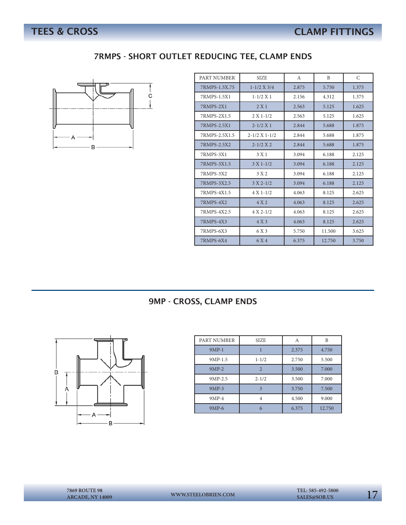### 7RMPS - SHORT OUTLET REDUCING TEE, CLAMP ENDS



| PART NUMBER      | <b>SIZE</b>           | A     | B      | C     |
|------------------|-----------------------|-------|--------|-------|
| 7RMPS-1.5X.75    | $1 - 1/2$ X 3/4       | 2.875 | 5.750  | 1.375 |
| 7RMPS-1.5X1      | $1 - 1/2$ X 1         | 2.156 | 4.312  | 1.375 |
| <b>7RMPS-2X1</b> | 2 X 1                 | 2.563 | 5.125  | 1.625 |
| 7RMPS-2X1.5      | $2 X 1 - 1/2$         | 2.563 | 5.125  | 1.625 |
| 7RMPS-2.5X1      | $2 - 1/2 X1$          | 2.844 | 5.688  | 1.875 |
| 7RMPS-2.5X1.5    | $2 - 1/2$ X 1 - $1/2$ | 2.844 | 5.688  | 1.875 |
| 7RMPS-2.5X2      | $2 - 1/2 X 2$         | 2.844 | 5.688  | 1.875 |
| 7RMPS-3X1        | 3 X 1                 | 3.094 | 6.188  | 2.125 |
| 7RMPS-3X1.5      | $3 X 1 - 1/2$         | 3.094 | 6.188  | 2.125 |
| 7RMPS-3X2        | 3 X 2                 | 3.094 | 6.188  | 2.125 |
| 7RMPS-3X2.5      | $3 X 2 - 1/2$         | 3.094 | 6.188  | 2.125 |
| 7RMPS-4X1.5      | $4 X 1 - 1/2$         | 4.063 | 8.125  | 2.625 |
| 7RMPS-4X2        | 4 X 2                 | 4.063 | 8.125  | 2.625 |
| 7RMPS-4X2.5      | $4 X 2 - 1/2$         | 4.063 | 8.125  | 2.625 |
| 7RMPS-4X3        | 4 X 3                 | 4.063 | 8.125  | 2.625 |
| 7RMPS-6X3        | 6 X 3                 | 5.750 | 11.500 | 3.625 |
| 7RMPS-6X4        | 6 X 4                 | 6.375 | 12.750 | 3.750 |

### 9MP - CROSS, CLAMP ENDS



| PART NUMBER | <b>SIZE</b>              | А     | B      |
|-------------|--------------------------|-------|--------|
| $9MP-1$     |                          | 2.375 | 4.750  |
| 9MP-1.5     | $1 - 1/2$                | 2.750 | 5.500  |
| $9MP-2$     | $\overline{\mathcal{L}}$ | 3.500 | 7.000  |
| $9MP-2.5$   | $2 - 1/2$                | 3.500 | 7.000  |
| $9MP-3$     | $\mathbf{3}$             | 3.750 | 7.500  |
| $9MP-4$     |                          | 4.500 | 9.000  |
| 9MP-6       |                          | 6.375 | 12.750 |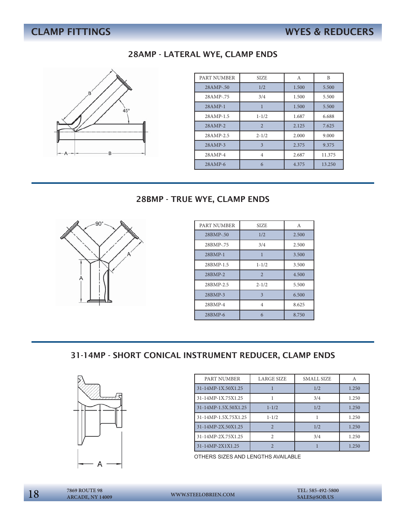# **CLAMP FITTINGS WYES & REDUCERS**

### 28AMP - LATERAL WYE, CLAMP ENDS



| PART NUMBER | <b>SIZE</b>             | А     | B      |
|-------------|-------------------------|-------|--------|
| 28AMP-.50   | 1/2                     | 1.500 | 5.500  |
| 28AMP-.75   | 3/4                     | 1.500 | 5.500  |
| $28AMP-1$   |                         | 1.500 | 5.500  |
| 28AMP-1.5   | $1 - 1/2$               | 1.687 | 6.688  |
| $28$ AMP-2  | $\overline{2}$          | 2.125 | 7.625  |
| 28AMP-2.5   | $2 - 1/2$               | 2.000 | 9.000  |
| $28$ AMP-3  | $\overline{\mathbf{3}}$ | 2.375 | 9.375  |
| 28AMP-4     | 4                       | 2.687 | 11.375 |
| $28$ AMP-6  | 6                       | 4.375 | 13.250 |

### 28BMP - TRUE WYE, CLAMP ENDS



| PART NUMBER | <b>SIZE</b>             | A     |
|-------------|-------------------------|-------|
| 28BMP-.50   | 1/2                     | 2.500 |
| 28BMP-.75   | 3/4                     | 2.500 |
| 28BMP-1     | 1                       | 3.500 |
| 28BMP-1.5   | $1 - 1/2$               | 3.500 |
| 28BMP-2     | $\overline{2}$          | 4.500 |
| 28BMP-2.5   | $2 - 1/2$               | 5.500 |
| 28BMP-3     | $\overline{\mathbf{3}}$ | 6.500 |
| 28BMP-4     | 4                       | 8.625 |
| 28BMP-6     | 6                       | 8.750 |

### 31-14MP - SHORT CONICAL INSTRUMENT REDUCER, CLAMP ENDS



| PART NUMBER          | <b>LARGE SIZE</b> | SMALL SIZE | А     |
|----------------------|-------------------|------------|-------|
| 31-14MP-1X.50X1.25   |                   | 1/2        | 1.250 |
| 31-14MP-1X.75X1.25   |                   | 3/4        | 1.250 |
| 31-14MP-1.5X.50X1.25 | $1 - 1/2$         | 1/2        | 1.250 |
| 31-14MP-1.5X.75X1.25 | $1 - 1/2$         |            | 1.250 |
| 31-14MP-2X.50X1.25   | $\overline{2}$    | 1/2        | 1.250 |
| 31-14MP-2X.75X1.25   | $\mathcal{D}$     | 3/4        | 1.250 |
| 31-14MP-2X1X1.25     |                   |            | 1.250 |

OTHERS SIZES AND LENGTHS AVAILABLE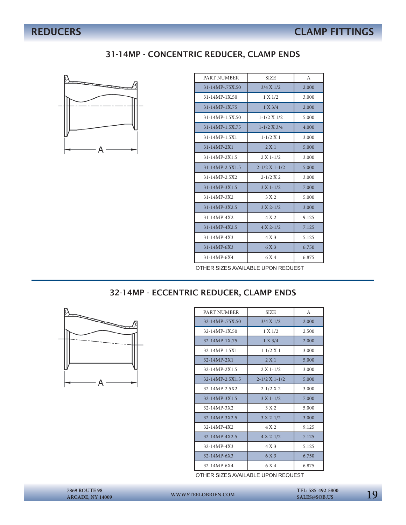### 31-14MP - CONCENTRIC REDUCER, CLAMP ENDS



| PART NUMBER                         | <b>SIZE</b>       | A     |  |
|-------------------------------------|-------------------|-------|--|
| 31-14MP-.75X.50                     | 3/4 X 1/2         | 2.000 |  |
| $31 - 14 MP - 1 X.50$               | 1 X 1/2           | 3.000 |  |
| $31 - 14MP - 1X.75$                 | 1 X 3/4           | 2.000 |  |
| 31-14MP-1.5X.50                     | $1 - 1/2$ X $1/2$ | 5.000 |  |
| 31-14MP-1.5X.75                     | $1 - 1/2$ X 3/4   | 4.000 |  |
| 31-14MP-1.5X1                       | $1 - 1/2$ X 1     | 3.000 |  |
| $31 - 14MP - 2X1$                   | 2 X1              | 5.000 |  |
| $31 - 14MP - 2X1.5$                 | $2 X 1 - 1/2$     | 3.000 |  |
| 31-14MP-2.5X1.5                     | $2 - 1/2$ X 1-1/2 | 5.000 |  |
| 31-14MP-2.5X2                       | $2 - 1/2 X 2$     | 3.000 |  |
| 31-14MP-3X1.5                       | $3 X 1 - 1/2$     | 7.000 |  |
| 31-14MP-3X2                         | 3 X 2             | 5.000 |  |
| 31-14MP-3X2.5                       | $3 X 2 - 1/2$     | 3.000 |  |
| $31 - 14MP - 4X2$                   | 4 X 2             | 9.125 |  |
| $31 - 14MP - 4X2.5$                 | $4 X 2 - 1/2$     | 7.125 |  |
| 31-14MP-4X3                         | 4 X 3             | 5.125 |  |
| $31 - 14MP - 6X3$                   | 6 X 3             | 6.750 |  |
| 31-14MP-6X4                         | 6 X 4             | 6.875 |  |
| OTHER CIZES AVAILABLE HROM REQUEST. |                   |       |  |

### OTHER SIZES AVAILABLE UPON REQUEST

### 32-14MP - ECCENTRIC REDUCER, CLAMP ENDS



| PART NUMBER         | <b>SIZE</b>       | A     |
|---------------------|-------------------|-------|
| 32-14MP-75X.50      | 3/4 X 1/2         | 2.000 |
| 32-14MP-1X.50       | 1 X 1/2           | 2.500 |
| 32-14MP-1X.75       | 1 X 3/4           | 2.000 |
| 32-14MP-1.5X1       | $1 - 1/2$ X 1     | 3.000 |
| 32-14MP-2X1         | 2 X1              | 5.000 |
| 32-14MP-2X1.5       | $2 X 1 - 1/2$     | 3.000 |
| 32-14MP-2.5X1.5     | $2 - 1/2$ X 1-1/2 | 5.000 |
| 32-14MP-2.5X2       | $2 - 1/2 X 2$     | 3.000 |
| 32-14MP-3X1.5       | $3 X 1 - 1/2$     | 7.000 |
| 32-14MP-3X2         | 3 X 2             | 5.000 |
| 32-14MP-3X2.5       | $3 X 2 - 1/2$     | 3.000 |
| $32 - 14 MP - 4 X2$ | 4 X 2             | 9.125 |
| 32-14MP-4X2.5       | $4 X 2 - 1/2$     | 7.125 |
| 32-14MP-4X3         | 4 X 3             | 5.125 |
| 32-14MP-6X3         | 6 X 3             | 6.750 |
| 32-14MP-6X4         | 6 X 4             | 6.875 |

OTHER SIZES AVAILABLE UPON REQUEST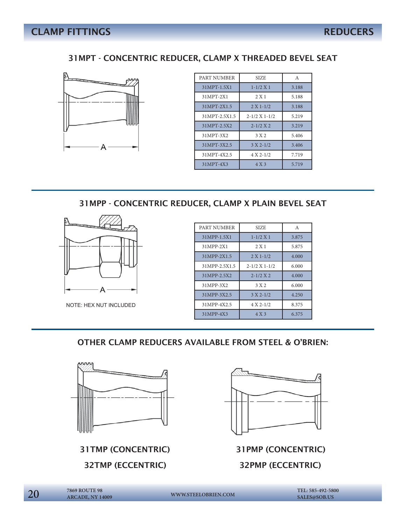### 31MPT - CONCENTRIC REDUCER, CLAMP X THREADED BEVEL SEAT



| PART NUMBER   | <b>SIZE</b>           | A     |
|---------------|-----------------------|-------|
| 31MPT-1.5X1   | $1 - 1/2 X 1$         | 3.188 |
| 31MPT-2X1     | 2 X1                  | 5.188 |
| 31MPT-2X1.5   | $2 X 1 - 1/2$         | 3.188 |
| 31MPT-2.5X1.5 | $2 - 1/2$ X 1 - $1/2$ | 5.219 |
| 31MPT-2.5X2   | $2 - 1/2 X 2$         | 3.219 |
| 31MPT-3X2     | 3 X 2                 | 5.406 |
| 31MPT-3X2.5   | $3 X 2 - 1/2$         | 3.406 |
| 31MPT-4X2.5   | $4 X 2 - 1/2$         | 7.719 |
| 31MPT-4X3     | 4 X 3                 | 5.719 |

### 31MPP - CONCENTRIC REDUCER, CLAMP X PLAIN BEVEL SEAT



NOTE: HEX NUT INCLUDED

| PART NUMBER   | <b>SIZE</b>           | A     |
|---------------|-----------------------|-------|
| 31MPP-1.5X1   | $1 - 1/2 X 1$         | 3.875 |
| 31MPP-2X1     | 2 X 1                 | 5.875 |
| 31MPP-2X1.5   | $2 X 1 - 1/2$         | 4.000 |
| 31MPP-2.5X1.5 | $2 - 1/2$ X 1 - $1/2$ | 6.000 |
| 31MPP-2.5X2   | $2 - 1/2 X 2$         | 4.000 |
| 31MPP-3X2     | 3 X 2                 | 6.000 |
| 31MPP-3X2.5   | $3 X 2 - 1/2$         | 4.250 |
| 31MPP-4X2.5   | $4 X 2 - 1/2$         | 8.375 |
| 31MPP-4X3     | 4 X 3                 | 6.375 |

OTHER CLAMP REDUCERS AVAILABLE FROM STEEL & O'BRIEN:



31TMP (CONCENTRIC) 31PMP (CONCENTRIC)

32TMP (ECCENTRIC) 32PMP (ECCENTRIC)



**TEL: 585-492-5800** 20 **WWW.STEELOBRIEN.COM SALES@SOB.US**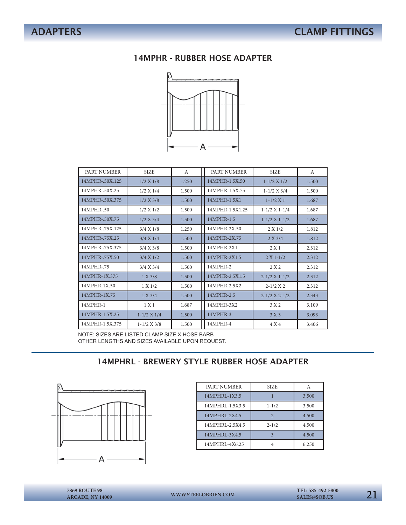### 14MPHR - RUBBER HOSE ADAPTER



| <b>PART NUMBER</b> | <b>SIZE</b>       | A     | PART NUMBER     | <b>SIZE</b>           | $\mathsf{A}$ |
|--------------------|-------------------|-------|-----------------|-----------------------|--------------|
| 14MPHR-.50X.125    | 1/2 X 1/8         | 1.250 | 14MPHR-1.5X.50  | $1 - 1/2$ X $1/2$     | 1.500        |
| 14MPHR-.50X.25     | 1/2 X 1/4         | 1.500 | 14MPHR-1.5X.75  | $1 - 1/2$ X 3/4       | 1.500        |
| 14MPHR-.50X.375    | 1/2 X 3/8         | 1.500 | 14MPHR-1.5X1    | $1-1/2 X1$            | 1.687        |
| 14MPHR-.50         | 1/2 X 1/2         | 1.500 | 14MPHR-1.5X1.25 | $1-1/2$ X $1-1/4$     | 1.687        |
| 14MPHR-.50X.75     | 1/2 X 3/4         | 1.500 | 14MPHR-1.5      | $1-1/2$ X $1-1/2$     | 1.687        |
| 14MPHR-.75X.125    | 3/4 X 1/8         | 1.250 | 14MPHR-2X.50    | 2 X 1/2               | 1.812        |
| 14MPHR-.75X.25     | 3/4 X 1/4         | 1.500 | 14MPHR-2X.75    | 2 X 3/4               | 1.812        |
| 14MPHR-.75X.375    | 3/4 X 3/8         | 1.500 | 14MPHR-2X1      | 2 X 1                 | 2.312        |
| 14MPHR-.75X.50     | 3/4 X 1/2         | 1.500 | 14MPHR-2X1.5    | $2 X 1 - 1/2$         | 2.312        |
| 14MPHR-.75         | 3/4 X 3/4         | 1.500 | 14MPHR-2        | 2 X 2                 | 2.312        |
| 14MPHR-1X.375      | 1 X 3/8           | 1.500 | 14MPHR-2.5X1.5  | $2 - 1/2$ X 1 - $1/2$ | 2.312        |
| 14MPHR-1X.50       | 1 X 1/2           | 1.500 | 14MPHR-2.5X2    | $2 - 1/2$ X 2         | 2.312        |
| 14MPHR-1X.75       | 1 X 3/4           | 1.500 | 14MPHR-2.5      | $2 - 1/2$ X $2 - 1/2$ | 2.343        |
| 14MPHR-1           | 1 X 1             | 1.687 | 14MPHR-3X2      | 3 X 2                 | 3.109        |
| 14MPHR-1.5X.25     | $1 - 1/2$ X $1/4$ | 1.500 | 14MPHR-3        | 3 X 3                 | 3.093        |
| 14MPHR-1.5X.375    | $1 - 1/2$ X 3/8   | 1.500 | 14MPHR-4        | 4 X 4                 | 3.406        |

NOTE: SIZES ARE LISTED CLAMP SIZE X HOSE BARB OTHER LENGTHS AND SIZES AVAILABLE UPON REQUEST.

### 14MPHRL - BREWERY STYLE RUBBER HOSE ADAPTER



| PART NUMBER     | <b>SIZE</b> |       |
|-----------------|-------------|-------|
| 14MPHRL-1X3.5   |             | 3.500 |
| 14MPHRL-1.5X3.5 | $1 - 1/2$   | 3.500 |
| 14MPHRL-2X4.5   |             | 4.500 |
| 14MPHRL-2.5X4.5 | $2 - 1/2$   | 4.500 |
| 14MPHRL-3X4.5   |             | 4.500 |
| 14MPHRL-4X6.25  |             | 6.250 |

**ARCADE, NY 14009**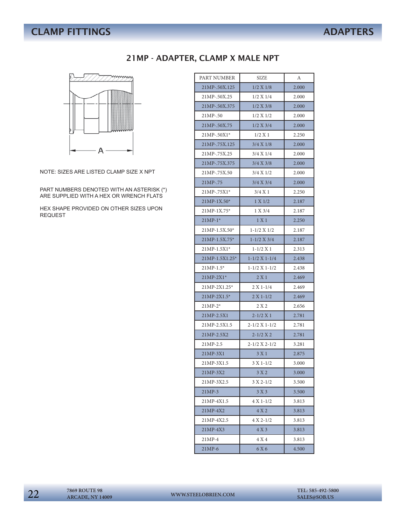# **CLAMP FITTINGS** ADAPTERS

### 21MP - ADAPTER, CLAMP X MALE NPT



NOTE: SIZES ARE LISTED CLAMP SIZE X NPT

PART NUMBERS DENOTED WITH AN ASTERISK (\*) ARE SUPPLIED WITH A HEX OR WRENCH FLATS

HEX SHAPE PROVIDED ON OTHER SIZES UPON REQUEST

| PART NUMBER     | SIZE                  | А     |
|-----------------|-----------------------|-------|
| 21MP-.50X.125   | 1/2 X 1/8             | 2.000 |
| 21MP-.50X.25    | 1/2 X 1/4             | 2.000 |
| 21MP-.50X.375   | 1/2 X 3/8             | 2.000 |
| 21MP-.50        | 1/2 X 1/2             | 2.000 |
| 21MP-.50X.75    | 1/2 X 3/4             | 2.000 |
| 21MP-.50X1*     | 1/2 X 1               | 2.250 |
| 21MP-.75X.125   | 3/4 X 1/8             | 2.000 |
| 21MP-.75X.25    | 3/4 X 1/4             | 2.000 |
| 21MP-.75X.375   | 3/4 X 3/8             | 2.000 |
| 21MP-.75X.50    | 3/4 X 1/2             | 2.000 |
| 21MP-.75        | 3/4 X 3/4             | 2.000 |
| $21MP - .75X1*$ | 3/4 X 1               | 2.250 |
| $21MP-1X.50*$   | 1 X 1/2               | 2.187 |
| 21MP-1X.75*     | 1 X 3/4               | 2.187 |
| $21MP-1*$       | 1 X 1                 | 2.250 |
| 21MP-1.5X.50*   | $1 - 1/2$ X $1/2$     | 2.187 |
| 21MP-1.5X.75*   | $1 - 1/2$ X 3/4       | 2.187 |
| 21MP-1.5X1*     | $1 - 1/2 X 1$         | 2.313 |
| 21MP-1.5X1.25*  | $1-1/2 X 1-1/4$       | 2.438 |
| $21MP-1.5*$     | $1-1/2$ X $1-1/2$     | 2.438 |
| 21MP-2X1*       | 2X1                   | 2.469 |
| 21MP-2X1.25*    | $2 X 1 - 1/4$         | 2.469 |
| 21MP-2X1.5*     | $2 X 1 - 1/2$         | 2.469 |
| $21MP-2*$       | 2 X 2                 | 2.656 |
| 21MP-2.5X1      | $2 - 1/2 X 1$         | 2.781 |
| 21MP-2.5X1.5    | $2 - 1/2$ X 1 - $1/2$ | 2.781 |
| 21MP-2.5X2      | $2 - 1/2 X 2$         | 2.781 |
| 21MP-2.5        | $2 - 1/2$ X $2 - 1/2$ | 3.281 |
| 21MP-3X1        | 3X1                   | 2.875 |
| 21MP-3X1.5      | $3 X 1 - 1/2$         | 3.000 |
| 21MP-3X2        | 3 X 2                 | 3.000 |
| 21MP-3X2.5      | $3 X 2 - 1/2$         | 3.500 |
| $21MP-3$        | 3 X 3                 | 3.500 |
| 21MP-4X1.5      | $4 X 1 - 1/2$         | 3.813 |
| 21MP-4X2        | 4 X 2                 | 3.813 |
| 21MP-4X2.5      | $4 X 2 - 1/2$         | 3.813 |
| 21MP-4X3        | 4 X 3                 | 3.813 |
| $21MP-4$        | 4 X 4                 | 3.813 |
| 21MP-6          | 6 X 6                 | 4.500 |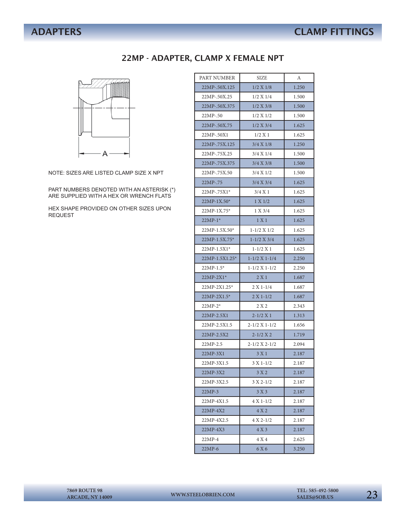### 22MP - ADAPTER, CLAMP X FEMALE NPT



NOTE: SIZES ARE LISTED CLAMP SIZE X NPT

PART NUMBERS DENOTED WITH AN ASTERISK (\*) ARE SUPPLIED WITH A HEX OR WRENCH FLATS

HEX SHAPE PROVIDED ON OTHER SIZES UPON REQUEST

| PART NUMBER    | SIZE<br>А             |       |
|----------------|-----------------------|-------|
| 22MP-.50X.125  | 1/2 X 1/8             | 1.250 |
| 22MP-.50X.25   | 1/2 X 1/4             | 1.500 |
| 22MP-.50X.375  | 1/2 X 3/8             | 1.500 |
| 22MP-.50       | 1/2 X 1/2             | 1.500 |
| 22MP-.50X.75   | 1/2 X 3/4             | 1.625 |
| 22MP-.50X1     | 1/2 X 1               | 1.625 |
| 22MP-.75X.125  | 3/4 X 1/8             | 1.250 |
| 22MP-.75X.25   | 3/4 X 1/4             | 1.500 |
| 22MP-.75X.375  | 3/4 X 3/8             | 1.500 |
| 22MP-.75X.50   | 3/4 X 1/2             | 1.500 |
| 22MP-.75       | 3/4 X 3/4             | 1.625 |
| $22MP - 75X1*$ | $3/4$ X 1             | 1.625 |
| 22MP-1X.50*    | 1 X 1/2               | 1.625 |
| 22MP-1X.75*    | 1 X 3/4               | 1.625 |
| $22MP-1*$      | 1 X 1                 | 1.625 |
| 22MP-1.5X.50*  | $1 - 1/2$ X $1/2$     | 1.625 |
| 22MP-1.5X.75*  | $1 - 1/2$ $X$ 3/4     | 1.625 |
| $22MP-1.5X1*$  | $1 - 1/2$ X 1         | 1.625 |
| 22MP-1.5X1.25* | $1-1/2 X 1-1/4$       | 2.250 |
| 22MP-1.5*      | $1-1/2 X 1-1/2$       | 2.250 |
| 22MP-2X1*      | 2X1                   | 1.687 |
| $22MP-2X1.25*$ | $2 X 1 - 1/4$         | 1.687 |
| 22MP-2X1.5*    | $2 X 1 - 1/2$         | 1.687 |
| $22MP-2*$      | 2 X 2                 | 2.343 |
| 22MP-2.5X1     | $2 - 1/2 X 1$         | 1.313 |
| 22MP-2.5X1.5   | $2 - 1/2$ X 1 - $1/2$ | 1.656 |
| 22MP-2.5X2     | $2 - 1/2 X 2$         | 1.719 |
| 22MP-2.5       | $2-1/2 X 2-1/2$       | 2.094 |
| 22MP-3X1       | 3X1                   | 2.187 |
| 22MP-3X1.5     | $3 X 1 - 1/2$         | 2.187 |
| 22MP-3X2       | 3 X 2                 | 2.187 |
| 22MP-3X2.5     | $3 X 2 - 1/2$         | 2.187 |
| 22MP-3         | 3 X 3                 | 2.187 |
| 22MP-4X1.5     | $4 X 1 - 1/2$         | 2.187 |
| 22MP-4X2       | 4 X 2                 | 2.187 |
| 22MP-4X2.5     | $4 X 2 - 1/2$         | 2.187 |
| 22MP-4X3       | 4X3                   | 2.187 |
| $22MP-4$       | 4 X 4                 | 2.625 |
| 22MP-6         | 6 X 6                 | 3.250 |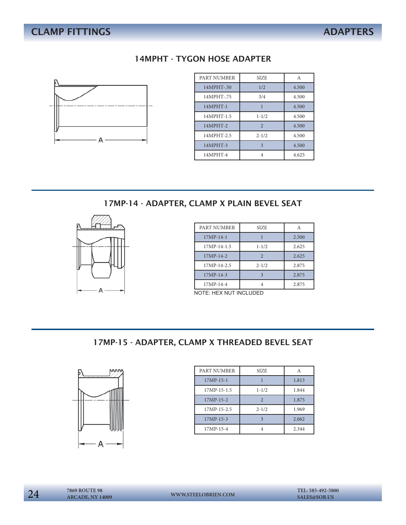# **CLAMP FITTINGS** ADAPTERS

### 14MPHT - TYGON HOSE ADAPTER



| PART NUMBER | <b>SIZE</b>    | A     |
|-------------|----------------|-------|
| 14MPHT-.50  | 1/2            | 4.500 |
| 14MPHT-.75  | 3/4            | 4.500 |
| 14MPHT-1    |                | 4.500 |
| 14MPHT-1.5  | $1 - 1/2$      | 4.500 |
| 14MPHT-2    | $\overline{2}$ | 4.500 |
| 14MPHT-2.5  | $2 - 1/2$      | 4.500 |
| 14MPHT-3    | $\mathbf{3}$   | 4.500 |
| 14MPHT-4    | 4              | 4.625 |

17MP-14 - ADAPTER, CLAMP X PLAIN BEVEL SEAT



| PART NUMBER   | <b>SIZE</b> | A     |
|---------------|-------------|-------|
| $17MP-14-1$   |             | 2.500 |
| $17MP-14-1.5$ | $1 - 1/2$   | 2.625 |
| $17MP-14-2$   |             | 2.625 |
| 17MP-14-2.5   | $2 - 1/2$   | 2.875 |
| $17MP-14-3$   |             | 2.875 |
| 17MP-14-4     |             | 2.875 |

NOTE: HEX NUT INCLUDED

### 17MP-15 - ADAPTER, CLAMP X THREADED BEVEL SEAT



| PART NUMBER | <b>SIZE</b>    |       |
|-------------|----------------|-------|
| $17MP-15-1$ |                | 1.813 |
| 17MP-15-1.5 | $1 - 1/2$      | 1.844 |
| $17MP-15-2$ | $\overline{2}$ | 1.875 |
| 17MP-15-2.5 | $2 - 1/2$      | 1.969 |
| 17MP-15-3   |                | 2.062 |
| 17MP-15-4   |                | 2.344 |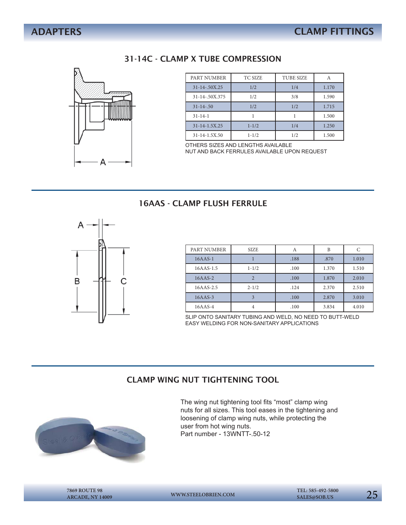### 31-14C - CLAMP X TUBE COMPRESSION



| PART NUMBER         | <b>TC SIZE</b> | <b>TUBE SIZE</b> |       |
|---------------------|----------------|------------------|-------|
| $31 - 14 - 50X.25$  | 1/2            | 1/4              | 1.170 |
| 31-14-.50X.375      | 1/2            | 3/8              | 1.590 |
| $31 - 14 - 50$      | 1/2            | 1/2              | 1.715 |
| $31 - 14 - 1$       |                |                  | 1.500 |
| $31 - 14 - 1.5X.25$ | $1 - 1/2$      | 1/4              | 1.250 |
| 31-14-1.5X.50       | $1 - 1/2$      | 1/2              | 1.500 |

OTHERS SIZES AND LENGTHS AVAILABLE NUT AND BACK FERRULES AVAILABLE UPON REQUEST

### 16AAS - CLAMP FLUSH FERRULE



| PART NUMBER | <b>SIZE</b> | A    | B     | C     |
|-------------|-------------|------|-------|-------|
| $16AAS-1$   |             | .188 | .870  | 1.010 |
| 16AAS-1.5   | $1 - 1/2$   | .100 | 1.370 | 1.510 |
| $16AAS-2$   | ി           | .100 | 1.870 | 2.010 |
| 16AAS-2.5   | $2 - 1/2$   | .124 | 2.370 | 2.510 |
| $16AAS-3$   |             | .100 | 2.870 | 3.010 |
| $16AAS-4$   |             | .100 | 3.834 | 4.010 |

SLIP ONTO SANITARY TUBING AND WELD, NO NEED TO BUTT-WELD EASY WELDING FOR NON-SANITARY APPLICATIONS

### CLAMP WING NUT TIGHTENING TOOL



The wing nut tightening tool fits "most" clamp wing nuts for all sizes. This tool eases in the tightening and loosening of clamp wing nuts, while protecting the user from hot wing nuts. Part number - 13WNTT-.50-12

**ARCADE, NY 14009**

**WWW.STEELOBRIEN.COM**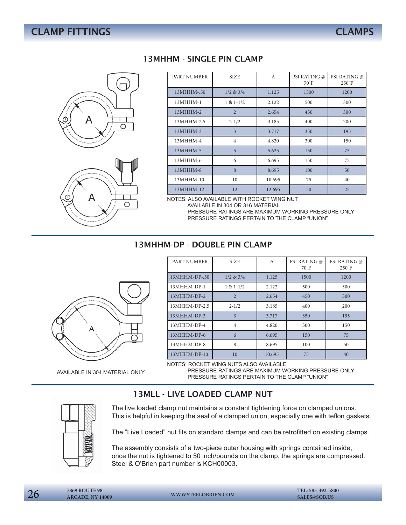



### 13MHHM - SINGLE PIN CLAMP

| PART NUMBER | <b>SIZE</b>             | A      | PSI RATING @<br>70 F | PSI RATING @<br>$250^\circ$ F |
|-------------|-------------------------|--------|----------------------|-------------------------------|
| 13MHHM-.50  | $1/2$ & $3/4$           | 1.125  | 1500                 | 1200                          |
| 13MHHM-1    | $1 & 1-1/2$             | 2.122  | 500                  | 300                           |
| 13MHHM-2    | $\overline{2}$          | 2.654  | 450                  | 300                           |
| 13MHHM-2.5  | $2 - 1/2$               | 3.185  | 400                  | 200                           |
| 13MHHM-3    | $\overline{\mathbf{3}}$ | 3.717  | 350                  | 195                           |
| 13MHHM-4    | $\overline{4}$          | 4.820  | 300                  | 150                           |
| $13MHHM-5$  | 5                       | 5.625  | 150                  | 75                            |
| 13MHHM-6    | 6                       | 6.695  | 150                  | 75                            |
| 13MHHM-8    | 8                       | 8.695  | 100                  | 50                            |
| 13MHHM-10   | 10                      | 10.695 | 75                   | 40                            |
| 13MHHM-12   | 12                      | 12.695 | 50                   | 25                            |

NOTES: ALSO AVAILABLE WITH ROCKET WING NUT

 AVAILABLE IN 304 OR 316 MATERIAL PRESSURE RATINGS ARE MAXIMUM WORKING PRESSURE ONLY PRESSURE RATINGS PERTAIN TO THE CLAMP "UNION"

### 13MHHM-DP - DOUBLE PIN CLAMP



AVAILABLE IN 304 MATERIAL ONLY

### PART NUMBER SIZE A PSI RATING @ 70°F PSI RATING @ 250°F 13MHHM-DP-.50 1/2 & 3/4 1.125 1500 1500 1200 13MHHM-DP-1 1 & 1-1/2 2.122 500 300 13MHHM-DP-2 2 2.654 450 300 13MHHM-DP-2.5 2-1/2 3.185 400 200 13MHHM-DP-3 3 3.717 350 195 13MHHM-DP-4 4 4.820 300 150  $13MHHM-DP-6$  6 6.695 150 150 75 13MHHM-DP-8 8 8.695 100 50 13MHHM-DP-10 10 10.695 75 40

NOTES: ROCKET WING NUTS ALSO AVAILABLE

 PRESSURE RATINGS ARE MAXIMUM WORKING PRESSURE ONLY PRESSURE RATINGS PERTAIN TO THE CLAMP "UNION"

### 13MLL - LIVE LOADED CLAMP NUT



The live loaded clamp nut maintains a constant tightening force on clamped unions. This is helpful in keeping the seal of a clamped union, especially one with teflon gaskets.

The "Live Loaded" nut fits on standard clamps and can be retrofitted on existing clamps.

The assembly consists of a two-piece outer housing with springs contained inside, once the nut is tightened to 50 inch/pounds on the clamp, the springs are compressed. Steel & O'Brien part number is KCH00003.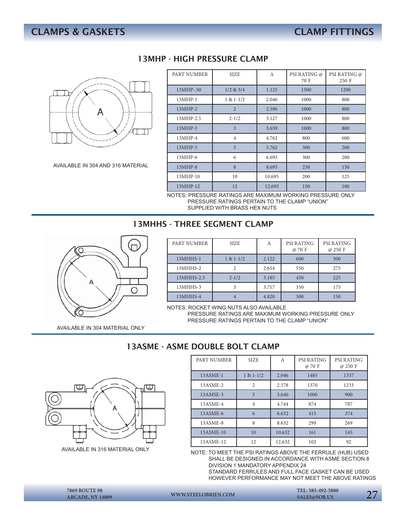

AVAILABLE IN 304 AND 316 MATERIAL

### 13MHP - HIGH PRESSURE CLAMP

| PART NUMBER | <b>SIZE</b>    | A      | PSI RATING @<br>$70^\circ F$ | PSI RATING @<br>$250^\circ$ F |
|-------------|----------------|--------|------------------------------|-------------------------------|
| 13MHP-.50   | $1/2$ & $3/4$  | 1.125  | 1500                         | 1200                          |
| 13MHP-1     | $1 & 1-1/2$    | 2.046  | 1000                         | 800                           |
| $13MHP-2$   | $\overline{2}$ | 2.596  | 1000                         | 800                           |
| 13MHP-2.5   | $2 - 1/2$      | 3.127  | 1000                         | 800                           |
| $13MHP-3$   | 3              | 3.659  | 1000                         | 800                           |
| 13MHP-4     | $\overline{4}$ | 4.762  | 800                          | 600                           |
| $13MHP-5$   | 5              | 5.762  | 300                          | 200                           |
| $13MHP-6$   | 6              | 6.695  | 300                          | 200                           |
| 13MHP-8     | 8              | 8.695  | 250                          | 150                           |
| 13MHP-10    | 10             | 10.695 | 200                          | 125                           |
| 13MHP-12    | 12             | 12.695 | 150                          | 100                           |

NOTES: PRESSURE RATINGS ARE MAXIMUM WORKING PRESSURE ONLY PRESSURE RATINGS PERTAIN TO THE CLAMP "UNION"

SUPPLIED WITH BRASS HEX NUTS

### 13MHHS - THRFF SEGMENT CLAMP



| PART NUMBER | <b>SIZE</b> | А     | <b>PSI RATING</b><br>@ 70 F | <b>PSI RATING</b><br>$@250$ <sup>°</sup> F |
|-------------|-------------|-------|-----------------------------|--------------------------------------------|
| 13MHHS-1    | $1 & 1-1/2$ | 2.122 | 600                         | 300                                        |
| 13MHHS-2    |             | 2.654 | 550                         | 275                                        |
| 13MHHS-2.5  | $2 - 1/2$   | 3.185 | 450                         | 225                                        |
| 13MHHS-3    |             | 3.717 | 350                         | 175                                        |
| 13MHHS-4    |             | 4.820 | 300                         | 150                                        |

NOTES: ROCKET WING NUTS ALSO AVAILABLE

 PRESSURE RATINGS ARE MAXIMUM WORKING PRESSURE ONLY PRESSURE RATINGS PERTAIN TO THE CLAMP "UNION"

AVAILABLE IN 304 MATERIAL ONLY

### 13ASME - ASME DOUBLE BOLT CLAMP



AVAILABLE IN 316 MATERIAL ONLY

| PART NUMBER | <b>SIZE</b>    | A      | <b>PSI RATING</b><br>$\varpi$ 70 F | <b>PSI RATING</b><br>$\varpi$ 250 $\degree$ F |
|-------------|----------------|--------|------------------------------------|-----------------------------------------------|
| $13ASME-1$  | $1 & 1-1/2$    | 2.046  | 1485                               | 1337                                          |
| 13ASME-2    | $\overline{2}$ | 2.578  | 1370                               | 1233                                          |
| 13AMSE-3    | 3              | 3.640  | 1000                               | 900                                           |
| 13ASME-4    | $\overline{4}$ | 4.744  | 874                                | 787                                           |
| 13ASME-6    | 6              | 6.632  | 415                                | 374                                           |
| 13ASME-8    | 8              | 8.632  | 299                                | 269                                           |
| 13ASME-10   | 10             | 10.632 | 161                                | 145                                           |
| 13ASME-12   | 12             | 12.632 | 102                                | 92                                            |

NOTE: TO MEET THE PSI RATINGS ABOVE THE FERRULE (HUB) USED SHALL BE DESIGNED IN ACCORDANCE WITH ASME SECTION 8 DIVISION 1 MANDATORY APPENDIX 24

 STANDARD FERRULES AND FULL FACE GASKET CAN BE USED HOWEVER PERFORMANCE MAY NOT MEET THE ABOVE RATINGS

27 **7869 ROUTE 98 ARCADE, NY 14009**

**WWW.STEELOBRIEN.COM** 

 **TEL: 585-492-5800**

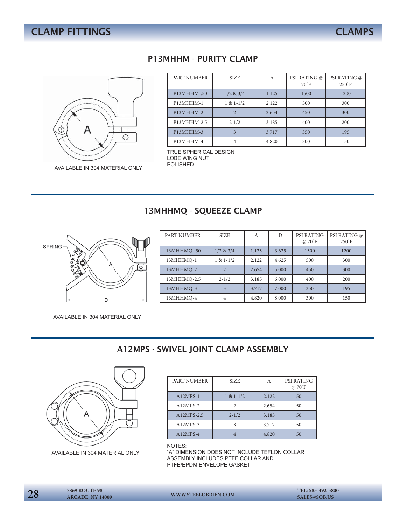

AVAILABLE IN 304 MATERIAL ONLY

### P13MHHM - PURITY CLAMP

| PART NUMBER | <b>SIZE</b>    | А     | PSI RATING @<br>$70^\circ F$ | PSI RATING @<br>$250$ <sup><math>\degree</math></sup> F |
|-------------|----------------|-------|------------------------------|---------------------------------------------------------|
| P13MHHM-.50 | $1/2$ & $3/4$  | 1.125 | 1500                         | 1200                                                    |
| P13MHHM-1   | $1 & 1-1/2$    | 2.122 | 500                          | 300                                                     |
| P13MHHM-2   | $\mathfrak{D}$ | 2.654 | 450                          | 300                                                     |
| P13MHHM-2.5 | $2 - 1/2$      | 3.185 | 400                          | 200                                                     |
| P13MHHM-3   | 3              | 3.717 | 350                          | 195                                                     |
| P13MHHM-4   |                | 4.820 | 300                          | 150                                                     |

TRUE SPHERICAL DESIGN LOBE WING NUT<br>POLISHED

### 13MHHMQ - SQUEEZE CLAMP



| PART NUMBER | <b>SIZE</b>   | A     | D     | <b>PSI RATING</b><br>@ 70 F | PSI RATING @<br>$250$ <sup><math>\degree</math></sup> F |
|-------------|---------------|-------|-------|-----------------------------|---------------------------------------------------------|
| 13MHHMQ-.50 | $1/2$ & $3/4$ | 1.125 | 3.625 | 1500                        | 1200                                                    |
| 13MHHMQ-1   | $1 & 1-1/2$   | 2.122 | 4.625 | 500                         | 300                                                     |
| 13MHHMQ-2   |               | 2.654 | 5.000 | 450                         | 300                                                     |
| 13MHHMQ-2.5 | $2 - 1/2$     | 3.185 | 6.000 | 400                         | 200                                                     |
| 13MHHMQ-3   |               | 3.717 | 7.000 | 350                         | 195                                                     |
| 13MHHMQ-4   | 4             | 4.820 | 8.000 | 300                         | 150                                                     |

AVAILABLE IN 304 MATERIAL ONLY

### A12MPS - SWIVEL JOINT CLAMP ASSEMBLY



AVAILABLE IN 304 MATERIAL ONLY

| PART NUMBER | <b>SIZE</b> | Α     | <b>PSI RATING</b><br>@ 70 F |
|-------------|-------------|-------|-----------------------------|
| $A12MPS-1$  | $1 & 1-1/2$ | 2.122 | 50                          |
| $A12MPS-2$  | っ           | 2.654 | 50                          |
| A12MPS-2.5  | $2 - 1/2$   | 3.185 | 50                          |
| $A12MPS-3$  |             | 3.717 | 50                          |
| A12MPS-4    |             | 4.820 | 50                          |
|             |             |       |                             |

NOTES:

"A" DIMENSION DOES NOT INCLUDE TEFLON COLLAR ASSEMBLY INCLUDES PTFE COLLAR AND PTFE/EPDM ENVELOPE GASKET

| 28 | <b>7869 ROUTE 98</b><br><b>ARCADE, NY 14009</b> | WWW.STEELOBRIEN.COM | TEL: 585-492-5800<br>SALES@SOB.US |
|----|-------------------------------------------------|---------------------|-----------------------------------|
|----|-------------------------------------------------|---------------------|-----------------------------------|